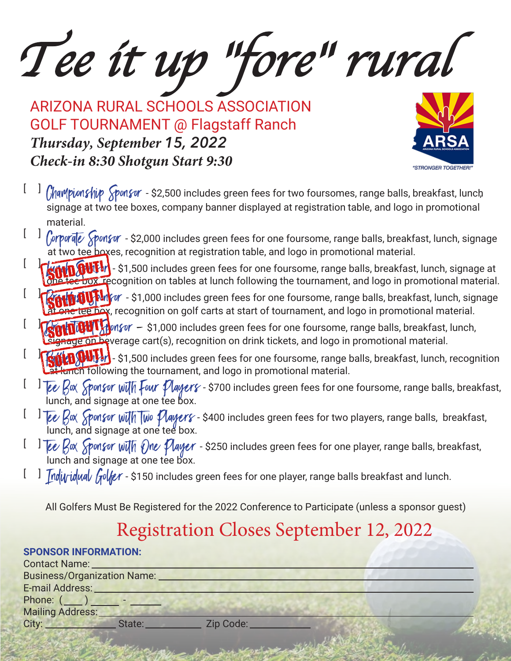Tee it up "fore" rural

ARIZONA RURAL SCHOOLS ASSOCIATION GOLF TOURNAMENT @ Flagstaff Ranch *Thursday, September 15, 2022Check-in 8:30 Shotgun Start 9:30*



- $[\;\;\;]$   $\ell$ hampionship  $\widehat{s}$ ponsor \$2,500 includes green fees for two foursomes, range balls, breakfast, lunch signage at two tee boxes, company banner displayed at registration table, and logo in promotional material.
- $[\quad]$   $\int$ orporale  $\int$ ponsor \$2,000 includes green fees for one foursome, range balls, breakfast, lunch, signage at two tee boxes, recognition at registration table, and logo in promotional material.
- $\lceil$  $\sqrt{1000}$   $\cdot$  \$1,500 includes green fees for one foursome, range balls, breakfast, lunch, signage at tee box, recognition on tables at lunch following the tournament, and logo in promotional material.
- $\lceil$  $\mathbf{W}$   $\mathbf{W}$   $\mathbf{W}$   $\mathbf{W}$  or - \$1,000 includes green fees for one foursome, range balls, breakfast, lunch, signage they, recognition on golf carts at start of tournament, and logo in promotional material.
- $\lceil$  $\frac{1}{2}$   $\frac{1}{2}$  on  $\frac{1}{2}$  on  $\frac{1}{2}$   $\frac{1}{2}$  . State includes green fees for one foursome, range balls, breakfast, lunch, age on beverage cart(s), recognition on drink tickets, and logo in promotional material.
- $\lceil$  $\bf{W}\rm_{b}$  - \$1,500 includes green fees for one foursome, range balls, breakfast, lunch, recognition Hunch following the tournament, and logo in promotional material.
- $[$ Tee Rox Sponsor with Four Players - \$700 includes green fees for one foursome, range balls, breakfast, lunch, and signage at one tee box.
- $[$   $]$   $\overline{[e\ell]}$   $\overline{[e\ell]}$   $\overline{[e\ell]}$   $\overline{[e\ell]}$   $\overline{[e\ell]}$   $\overline{[e\ell]}$   $\overline{[e\ell]}$   $\overline{[e\ell]}$   $\overline{[e\ell]}$   $\overline{[e\ell]}$   $\overline{[e\ell]}$   $\overline{[e\ell]}$   $\overline{[e\ell]}$   $\overline{[e\ell]}$   $\overline{[e\ell]}$   $\overline{[e\ell]}$   $\overline{[e\ell]}$   $\overline{[e\ell$ lunch, and signage at one tee box.
- $[ \quad]$  Tee Box Sponsor with One Player \$250 includes green fees for one player, range balls, breakfast, lunch and signage at one tee box.
- $\mathfrak l$  ]  $\mathcal I$ nd $\mathcal i$ y $\mathcal i$ u $\mathcal J$   $\mathcal J$   $\mathcal J$   $\mathcal J$   $\mathcal J$   $\mathcal J$  includes green fees for one player, range balls breakfast and lunch.

All Golfers Must Be Registered for the 2022 Conference to Participate (unless a sponsor guest)

## Registration Closes September 12, 2022

## **SPONSOR INFORMATION:**

| State: | Zip Code:                                                |  |
|--------|----------------------------------------------------------|--|
|        | <b>Business/Organization Name:</b><br>Phone: $($ $)$ $-$ |  |